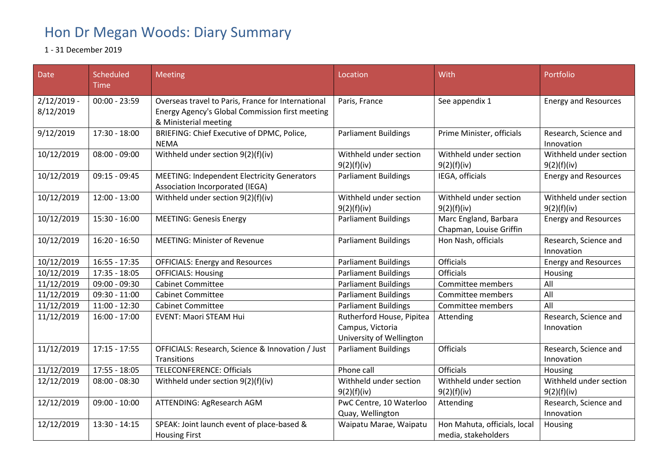## Hon Dr Megan Woods: Diary Summary

## 1 - 31 December 2019

| Date                       | Scheduled<br>Time | <b>Meeting</b>                                                                                                                 | Location                                                                  | With                                                | Portfolio                             |
|----------------------------|-------------------|--------------------------------------------------------------------------------------------------------------------------------|---------------------------------------------------------------------------|-----------------------------------------------------|---------------------------------------|
| $2/12/2019$ -<br>8/12/2019 | $00:00 - 23:59$   | Overseas travel to Paris, France for International<br>Energy Agency's Global Commission first meeting<br>& Ministerial meeting | Paris, France                                                             | See appendix 1                                      | <b>Energy and Resources</b>           |
| 9/12/2019                  | 17:30 - 18:00     | BRIEFING: Chief Executive of DPMC, Police,<br><b>NEMA</b>                                                                      | <b>Parliament Buildings</b>                                               | Prime Minister, officials                           | Research, Science and<br>Innovation   |
| 10/12/2019                 | $08:00 - 09:00$   | Withheld under section 9(2)(f)(iv)                                                                                             | Withheld under section<br>9(2)(f)(iv)                                     | Withheld under section<br>9(2)(f)(iv)               | Withheld under section<br>9(2)(f)(iv) |
| 10/12/2019                 | $09:15 - 09:45$   | <b>MEETING: Independent Electricity Generators</b><br>Association Incorporated (IEGA)                                          | <b>Parliament Buildings</b>                                               | IEGA, officials                                     | <b>Energy and Resources</b>           |
| 10/12/2019                 | $12:00 - 13:00$   | Withheld under section 9(2)(f)(iv)                                                                                             | Withheld under section<br>9(2)(f)(iv)                                     | Withheld under section<br>9(2)(f)(iv)               | Withheld under section<br>9(2)(f)(iv) |
| 10/12/2019                 | $15:30 - 16:00$   | <b>MEETING: Genesis Energy</b>                                                                                                 | <b>Parliament Buildings</b>                                               | Marc England, Barbara<br>Chapman, Louise Griffin    | <b>Energy and Resources</b>           |
| 10/12/2019                 | $16:20 - 16:50$   | <b>MEETING: Minister of Revenue</b>                                                                                            | <b>Parliament Buildings</b>                                               | Hon Nash, officials                                 | Research, Science and<br>Innovation   |
| 10/12/2019                 | $16:55 - 17:35$   | <b>OFFICIALS: Energy and Resources</b>                                                                                         | <b>Parliament Buildings</b>                                               | <b>Officials</b>                                    | <b>Energy and Resources</b>           |
| 10/12/2019                 | $17:35 - 18:05$   | <b>OFFICIALS: Housing</b>                                                                                                      | <b>Parliament Buildings</b>                                               | <b>Officials</b>                                    | Housing                               |
| 11/12/2019                 | 09:00 - 09:30     | <b>Cabinet Committee</b>                                                                                                       | <b>Parliament Buildings</b>                                               | Committee members                                   | All                                   |
| 11/12/2019                 | $09:30 - 11:00$   | <b>Cabinet Committee</b>                                                                                                       | <b>Parliament Buildings</b>                                               | Committee members                                   | All                                   |
| 11/12/2019                 | $11:00 - 12:30$   | <b>Cabinet Committee</b>                                                                                                       | <b>Parliament Buildings</b>                                               | Committee members                                   | All                                   |
| 11/12/2019                 | $16:00 - 17:00$   | <b>EVENT: Maori STEAM Hui</b>                                                                                                  | Rutherford House, Pipitea<br>Campus, Victoria<br>University of Wellington | Attending                                           | Research, Science and<br>Innovation   |
| 11/12/2019                 | $17:15 - 17:55$   | OFFICIALS: Research, Science & Innovation / Just<br>Transitions                                                                | <b>Parliament Buildings</b>                                               | <b>Officials</b>                                    | Research, Science and<br>Innovation   |
| 11/12/2019                 | 17:55 - 18:05     | <b>TELECONFERENCE: Officials</b>                                                                                               | Phone call                                                                | <b>Officials</b>                                    | Housing                               |
| 12/12/2019                 | $08:00 - 08:30$   | Withheld under section 9(2)(f)(iv)                                                                                             | Withheld under section<br>9(2)(f)(iv)                                     | Withheld under section<br>9(2)(f)(iv)               | Withheld under section<br>9(2)(f)(iv) |
| 12/12/2019                 | $09:00 - 10:00$   | ATTENDING: AgResearch AGM                                                                                                      | PwC Centre, 10 Waterloo<br>Quay, Wellington                               | Attending                                           | Research, Science and<br>Innovation   |
| 12/12/2019                 | 13:30 - 14:15     | SPEAK: Joint launch event of place-based &<br><b>Housing First</b>                                                             | Waipatu Marae, Waipatu                                                    | Hon Mahuta, officials, local<br>media, stakeholders | Housing                               |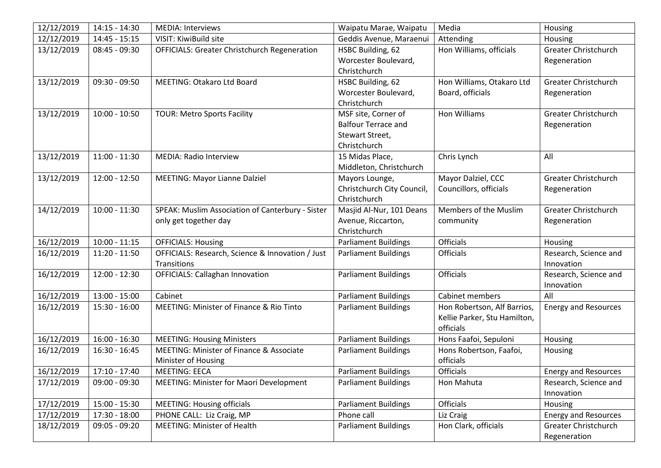| 12/12/2019 | 14:15 - 14:30   | <b>MEDIA: Interviews</b>                            | Waipatu Marae, Waipatu      | Media                        | Housing                     |
|------------|-----------------|-----------------------------------------------------|-----------------------------|------------------------------|-----------------------------|
| 12/12/2019 | $14:45 - 15:15$ | VISIT: KiwiBuild site                               | Geddis Avenue, Maraenui     | Attending                    | Housing                     |
| 13/12/2019 | $08:45 - 09:30$ | <b>OFFICIALS: Greater Christchurch Regeneration</b> | HSBC Building, 62           | Hon Williams, officials      | <b>Greater Christchurch</b> |
|            |                 |                                                     | Worcester Boulevard,        |                              | Regeneration                |
|            |                 |                                                     | Christchurch                |                              |                             |
| 13/12/2019 | $09:30 - 09:50$ | <b>MEETING: Otakaro Ltd Board</b>                   | HSBC Building, 62           | Hon Williams, Otakaro Ltd    | Greater Christchurch        |
|            |                 |                                                     | Worcester Boulevard,        | Board, officials             | Regeneration                |
|            |                 |                                                     | Christchurch                |                              |                             |
| 13/12/2019 | $10:00 - 10:50$ | <b>TOUR: Metro Sports Facility</b>                  | MSF site, Corner of         | <b>Hon Williams</b>          | Greater Christchurch        |
|            |                 |                                                     | <b>Balfour Terrace and</b>  |                              | Regeneration                |
|            |                 |                                                     | Stewart Street,             |                              |                             |
|            |                 |                                                     | Christchurch                |                              |                             |
| 13/12/2019 | $11:00 - 11:30$ | <b>MEDIA: Radio Interview</b>                       | 15 Midas Place,             | Chris Lynch                  | All                         |
|            |                 |                                                     | Middleton, Christchurch     |                              |                             |
| 13/12/2019 | $12:00 - 12:50$ | <b>MEETING: Mayor Lianne Dalziel</b>                | Mayors Lounge,              | Mayor Dalziel, CCC           | <b>Greater Christchurch</b> |
|            |                 |                                                     | Christchurch City Council,  | Councillors, officials       | Regeneration                |
|            |                 |                                                     | Christchurch                |                              |                             |
| 14/12/2019 | $10:00 - 11:30$ | SPEAK: Muslim Association of Canterbury - Sister    | Masjid Al-Nur, 101 Deans    | Members of the Muslim        | <b>Greater Christchurch</b> |
|            |                 | only get together day                               | Avenue, Riccarton,          | community                    | Regeneration                |
|            |                 |                                                     | Christchurch                |                              |                             |
| 16/12/2019 | $10:00 - 11:15$ | <b>OFFICIALS: Housing</b>                           | <b>Parliament Buildings</b> | <b>Officials</b>             | Housing                     |
| 16/12/2019 | $11:20 - 11:50$ | OFFICIALS: Research, Science & Innovation / Just    | <b>Parliament Buildings</b> | <b>Officials</b>             | Research, Science and       |
|            |                 | Transitions                                         |                             |                              | Innovation                  |
| 16/12/2019 | $12:00 - 12:30$ | <b>OFFICIALS: Callaghan Innovation</b>              | <b>Parliament Buildings</b> | Officials                    | Research, Science and       |
|            |                 |                                                     |                             |                              | Innovation                  |
| 16/12/2019 | $13:00 - 15:00$ | Cabinet                                             | <b>Parliament Buildings</b> | Cabinet members              | All                         |
| 16/12/2019 | $15:30 - 16:00$ | MEETING: Minister of Finance & Rio Tinto            | <b>Parliament Buildings</b> | Hon Robertson, Alf Barrios,  | <b>Energy and Resources</b> |
|            |                 |                                                     |                             | Kellie Parker, Stu Hamilton, |                             |
|            |                 |                                                     |                             | officials                    |                             |
| 16/12/2019 | $16:00 - 16:30$ | <b>MEETING: Housing Ministers</b>                   | <b>Parliament Buildings</b> | Hons Faafoi, Sepuloni        | Housing                     |
| 16/12/2019 | $16:30 - 16:45$ | MEETING: Minister of Finance & Associate            | <b>Parliament Buildings</b> | Hons Robertson, Faafoi,      | Housing                     |
|            |                 | Minister of Housing                                 |                             | officials                    |                             |
| 16/12/2019 | $17:10 - 17:40$ | <b>MEETING: EECA</b>                                | <b>Parliament Buildings</b> | <b>Officials</b>             | <b>Energy and Resources</b> |
| 17/12/2019 | $09:00 - 09:30$ | <b>MEETING: Minister for Maori Development</b>      | <b>Parliament Buildings</b> | Hon Mahuta                   | Research, Science and       |
|            |                 |                                                     |                             |                              | Innovation                  |
| 17/12/2019 | 15:00 - 15:30   | <b>MEETING: Housing officials</b>                   | <b>Parliament Buildings</b> | <b>Officials</b>             | Housing                     |
| 17/12/2019 | $17:30 - 18:00$ | PHONE CALL: Liz Craig, MP                           | Phone call                  | Liz Craig                    | <b>Energy and Resources</b> |
| 18/12/2019 | $09:05 - 09:20$ | <b>MEETING: Minister of Health</b>                  | <b>Parliament Buildings</b> | Hon Clark, officials         | Greater Christchurch        |
|            |                 |                                                     |                             |                              | Regeneration                |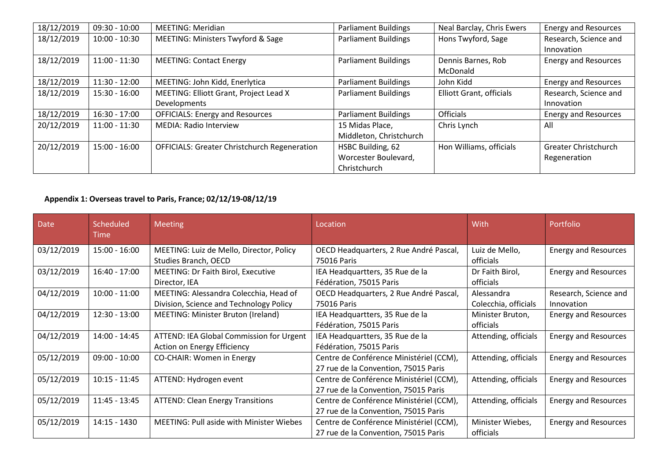| 18/12/2019 | $09:30 - 10:00$ | <b>MEETING: Meridian</b>                            | <b>Parliament Buildings</b> | Neal Barclay, Chris Ewers       | <b>Energy and Resources</b> |
|------------|-----------------|-----------------------------------------------------|-----------------------------|---------------------------------|-----------------------------|
| 18/12/2019 | $10:00 - 10:30$ | <b>MEETING: Ministers Twyford &amp; Sage</b>        | <b>Parliament Buildings</b> | Hons Twyford, Sage              | Research, Science and       |
|            |                 |                                                     |                             |                                 | Innovation                  |
| 18/12/2019 | $11:00 - 11:30$ | <b>MEETING: Contact Energy</b>                      | <b>Parliament Buildings</b> | Dennis Barnes, Rob              | <b>Energy and Resources</b> |
|            |                 |                                                     |                             | McDonald                        |                             |
| 18/12/2019 | $11:30 - 12:00$ | MEETING: John Kidd, Enerlytica                      | <b>Parliament Buildings</b> | John Kidd                       | <b>Energy and Resources</b> |
| 18/12/2019 | 15:30 - 16:00   | MEETING: Elliott Grant, Project Lead X              | <b>Parliament Buildings</b> | <b>Elliott Grant, officials</b> | Research, Science and       |
|            |                 | Developments                                        |                             |                                 | Innovation                  |
| 18/12/2019 | 16:30 - 17:00   | <b>OFFICIALS: Energy and Resources</b>              | <b>Parliament Buildings</b> | <b>Officials</b>                | <b>Energy and Resources</b> |
| 20/12/2019 | $11:00 - 11:30$ | <b>MEDIA: Radio Interview</b>                       | 15 Midas Place,             | Chris Lynch                     | All                         |
|            |                 |                                                     | Middleton, Christchurch     |                                 |                             |
| 20/12/2019 | $15:00 - 16:00$ | <b>OFFICIALS: Greater Christchurch Regeneration</b> | HSBC Building, 62           | Hon Williams, officials         | <b>Greater Christchurch</b> |
|            |                 |                                                     | Worcester Boulevard,        |                                 | Regeneration                |
|            |                 |                                                     | Christchurch                |                                 |                             |

## **Appendix 1: Overseas travel to Paris, France; 02/12/19-08/12/19**

| Date       | <b>Scheduled</b><br><b>Time</b> | <b>Meeting</b>                                  | Location                                | With                 | Portfolio                   |
|------------|---------------------------------|-------------------------------------------------|-----------------------------------------|----------------------|-----------------------------|
|            |                                 |                                                 |                                         |                      |                             |
| 03/12/2019 | $15:00 - 16:00$                 | MEETING: Luiz de Mello, Director, Policy        | OECD Headquarters, 2 Rue André Pascal,  | Luiz de Mello,       | <b>Energy and Resources</b> |
|            |                                 | Studies Branch, OECD                            | 75016 Paris                             | officials            |                             |
| 03/12/2019 | $16:40 - 17:00$                 | MEETING: Dr Faith Birol, Executive              | IEA Headquartters, 35 Rue de la         | Dr Faith Birol,      | <b>Energy and Resources</b> |
|            |                                 | Director, IEA                                   | Fédération, 75015 Paris                 | officials            |                             |
| 04/12/2019 | $10:00 - 11:00$                 | MEETING: Alessandra Colecchia, Head of          | OECD Headquarters, 2 Rue André Pascal,  | Alessandra           | Research, Science and       |
|            |                                 | Division, Science and Technology Policy         | 75016 Paris                             | Colecchia, officials | Innovation                  |
| 04/12/2019 | $12:30 - 13:00$                 | <b>MEETING: Minister Bruton (Ireland)</b>       | IEA Headquartters, 35 Rue de la         | Minister Bruton,     | <b>Energy and Resources</b> |
|            |                                 |                                                 | Fédération, 75015 Paris                 | officials            |                             |
| 04/12/2019 | 14:00 - 14:45                   | ATTEND: IEA Global Commission for Urgent        | IEA Headquartters, 35 Rue de la         | Attending, officials | <b>Energy and Resources</b> |
|            |                                 | Action on Energy Efficiency                     | Fédération, 75015 Paris                 |                      |                             |
| 05/12/2019 | $09:00 - 10:00$                 | CO-CHAIR: Women in Energy                       | Centre de Conférence Ministériel (CCM), | Attending, officials | <b>Energy and Resources</b> |
|            |                                 |                                                 | 27 rue de la Convention, 75015 Paris    |                      |                             |
| 05/12/2019 | $10:15 - 11:45$                 | ATTEND: Hydrogen event                          | Centre de Conférence Ministériel (CCM), | Attending, officials | <b>Energy and Resources</b> |
|            |                                 |                                                 | 27 rue de la Convention, 75015 Paris    |                      |                             |
| 05/12/2019 | $11:45 - 13:45$                 | <b>ATTEND: Clean Energy Transitions</b>         | Centre de Conférence Ministériel (CCM), | Attending, officials | <b>Energy and Resources</b> |
|            |                                 |                                                 | 27 rue de la Convention, 75015 Paris    |                      |                             |
| 05/12/2019 | 14:15 - 1430                    | <b>MEETING: Pull aside with Minister Wiebes</b> | Centre de Conférence Ministériel (CCM), | Minister Wiebes,     | <b>Energy and Resources</b> |
|            |                                 |                                                 | 27 rue de la Convention, 75015 Paris    | officials            |                             |